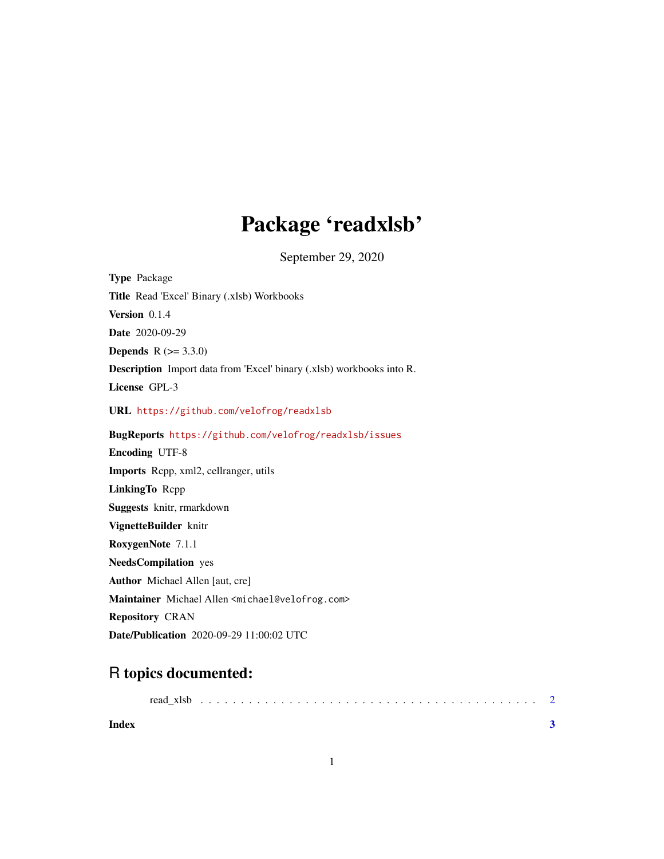## Package 'readxlsb'

September 29, 2020

| <b>Type Package</b>                                                         |
|-----------------------------------------------------------------------------|
| Title Read 'Excel' Binary (.xlsb) Workbooks                                 |
| Version $0.1.4$                                                             |
| Date 2020-09-29                                                             |
| <b>Depends</b> $R (= 3.3.0)$                                                |
| <b>Description</b> Import data from 'Excel' binary (xlsb) workbooks into R. |
| License GPL-3                                                               |
| URL https://github.com/velofrog/readxlsb                                    |
| BugReports https://github.com/velofrog/readxlsb/issues                      |
| <b>Encoding UTF-8</b>                                                       |
| <b>Imports</b> Repp, xml2, cellranger, utils                                |
| LinkingTo Repp                                                              |
| <b>Suggests</b> knitr, rmarkdown                                            |
| VignetteBuilder knitr                                                       |
| RoxygenNote 7.1.1                                                           |
| <b>NeedsCompilation</b> yes                                                 |
| <b>Author</b> Michael Allen [aut, cre]                                      |
| Maintainer Michael Allen <michael@velofrog.com></michael@velofrog.com>      |
| <b>Repository CRAN</b>                                                      |
| <b>Date/Publication</b> 2020-09-29 11:00:02 UTC                             |

### R topics documented:

|       | read xlsb |  |  |  |  |  |  |  |  |  |  |  |  |  |  |  |  |
|-------|-----------|--|--|--|--|--|--|--|--|--|--|--|--|--|--|--|--|
| Index |           |  |  |  |  |  |  |  |  |  |  |  |  |  |  |  |  |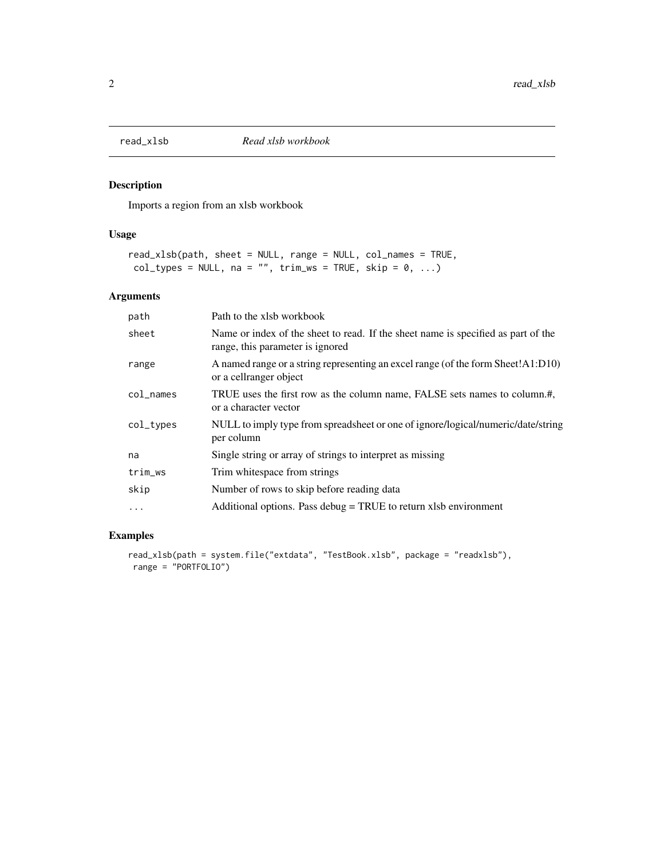<span id="page-1-0"></span>

#### Description

Imports a region from an xlsb workbook

#### Usage

```
read_xlsb(path, sheet = NULL, range = NULL, col_names = TRUE,
col\_types = NULL, na = "", trim\_ws = TRUE, skip = 0, ...)
```
#### Arguments

| path      | Path to the xlsb workbook                                                                                             |
|-----------|-----------------------------------------------------------------------------------------------------------------------|
| sheet     | Name or index of the sheet to read. If the sheet name is specified as part of the<br>range, this parameter is ignored |
| range     | A named range or a string representing an excel range (of the form Sheet!A1:D10)<br>or a cellranger object            |
| col_names | TRUE uses the first row as the column name, FALSE sets names to column.#,<br>or a character vector                    |
| col_types | NULL to imply type from spreadsheet or one of ignore/logical/numeric/date/string<br>per column                        |
| na        | Single string or array of strings to interpret as missing                                                             |
| trim_ws   | Trim whitespace from strings                                                                                          |
| skip      | Number of rows to skip before reading data                                                                            |
| $\ddotsc$ | Additional options. Pass debug $=$ TRUE to return xlsb environment                                                    |

#### Examples

```
read_xlsb(path = system.file("extdata", "TestBook.xlsb", package = "readxlsb"),
range = "PORTFOLIO")
```